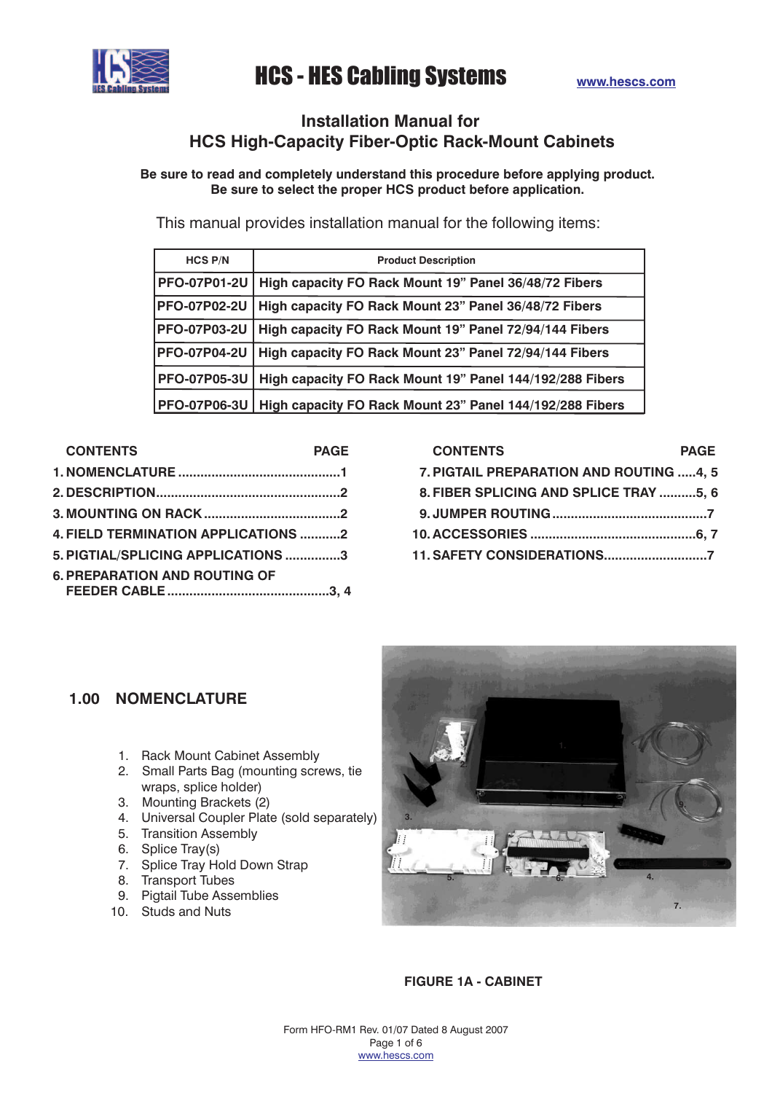# **Installation Manual for HCS High-Capacity Fiber-Optic Rack-Mount Cabinets**

**Be sure to read and completely understand this procedure before applying product. Be sure to select the proper HCS product before application.**

This manual provides installation manual for the following items:

| <b>HCS P/N</b>      | <b>Product Description</b>                               |  |
|---------------------|----------------------------------------------------------|--|
| <b>PFO-07P01-2U</b> | High capacity FO Rack Mount 19" Panel 36/48/72 Fibers    |  |
| <b>PFO-07P02-2U</b> | High capacity FO Rack Mount 23" Panel 36/48/72 Fibers    |  |
| <b>PFO-07P03-2U</b> | High capacity FO Rack Mount 19" Panel 72/94/144 Fibers   |  |
| <b>PFO-07P04-2U</b> | High capacity FO Rack Mount 23" Panel 72/94/144 Fibers   |  |
| <b>PFO-07P05-3U</b> | High capacity FO Rack Mount 19" Panel 144/192/288 Fibers |  |
| <b>PFO-07P06-3U</b> | High capacity FO Rack Mount 23" Panel 144/192/288 Fibers |  |

| <b>CONTENTS</b>                     | <b>PAGE</b> |
|-------------------------------------|-------------|
|                                     |             |
|                                     |             |
|                                     |             |
| 4. FIELD TERMINATION APPLICATIONS 2 |             |
| 5. PIGTIAL/SPLICING APPLICATIONS 3  |             |
| C BBEBARATION AND BOUTING OF        |             |

| <b>6. PREPARATION AND ROUTING OF</b> |  |
|--------------------------------------|--|
|                                      |  |

| <b>CONTENTS</b>                         | <b>PAGE</b> |
|-----------------------------------------|-------------|
| 7. PIGTAIL PREPARATION AND ROUTING 4, 5 |             |
| 8. FIBER SPLICING AND SPLICE TRAY 5, 6  |             |
|                                         |             |
|                                         |             |
| 11. SAFETY CONSIDERATIONS7              |             |
|                                         |             |

# **1.00 NOMENCLATURE**

- 1. Rack Mount Cabinet Assembly
- 2. Small Parts Bag (mounting screws, tie wraps, splice holder)
- 3. Mounting Brackets (2)
- 4. Universal Coupler Plate (sold separately)
- 5. Transition Assembly
- 6. Splice Tray(s)
- 7. Splice Tray Hold Down Strap
- 8. Transport Tubes
- 9. Pigtail Tube Assemblies
- 10. Studs and Nuts



**FIGURE 1A - CABINET**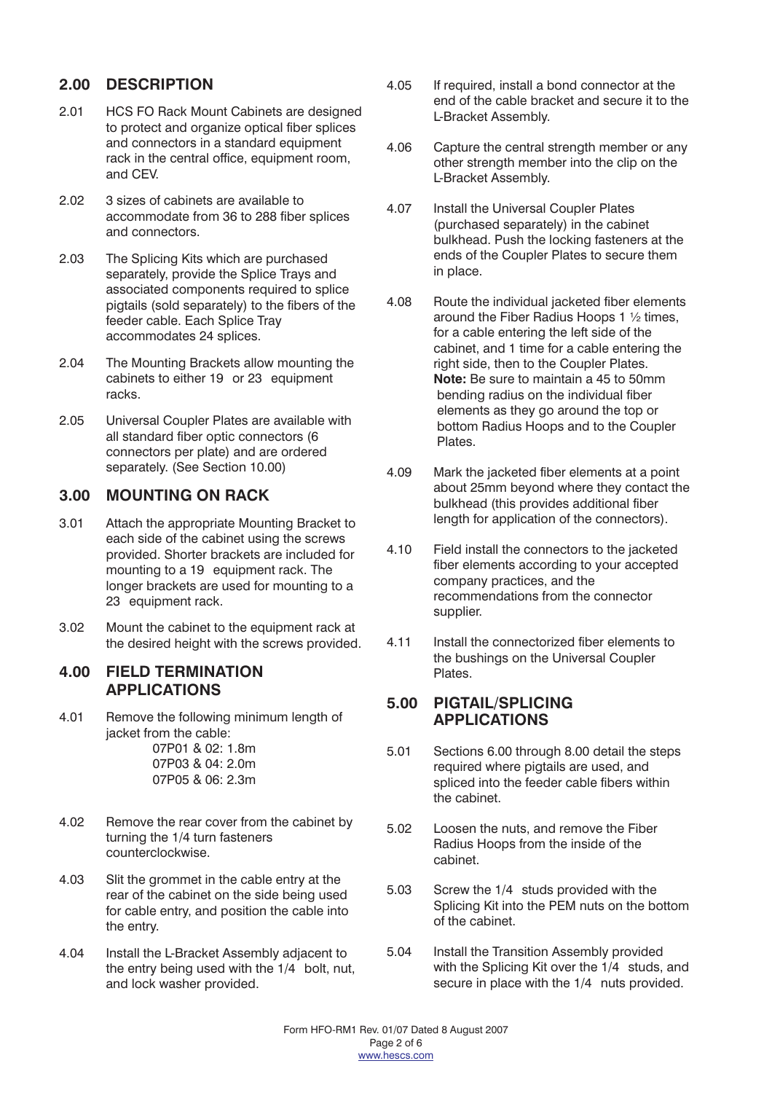# **2.00 DESCRIPTION**

- 2.01 HCS FO Rack Mount Cabinets are designed to protect and organize optical fiber splices and connectors in a standard equipment rack in the central office, equipment room, and CEV.
- 2.02 3 sizes of cabinets are available to accommodate from 36 to 288 fiber splices and connectors.
- 2.03 The Splicing Kits which are purchased separately, provide the Splice Trays and associated components required to splice pigtails (sold separately) to the fibers of the feeder cable. Each Splice Tray accommodates 24 splices.
- 2.04 The Mounting Brackets allow mounting the cabinets to either 19 or 23 equipment racks.
- 2.05 Universal Coupler Plates are available with all standard fiber optic connectors (6 connectors per plate) and are ordered separately. (See Section 10.00)

### **3.00 MOUNTING ON RACK**

- 3.01 Attach the appropriate Mounting Bracket to each side of the cabinet using the screws provided. Shorter brackets are included for mounting to a 19 equipment rack. The longer brackets are used for mounting to a 23 equipment rack.
- 3.02 Mount the cabinet to the equipment rack at the desired height with the screws provided.

#### **4.00 FIELD TERMINATION APPLICATIONS**

4.01 Remove the following minimum length of jacket from the cable: 07P01 & 02: 1.8m

07P03 & 04: 2.0m 07P05 & 06: 2.3m

- 4.02 Remove the rear cover from the cabinet by turning the 1/4 turn fasteners counterclockwise.
- 4.03 Slit the grommet in the cable entry at the rear of the cabinet on the side being used for cable entry, and position the cable into the entry.
- 4.04 Install the L-Bracket Assembly adjacent to the entry being used with the 1/4 bolt, nut, and lock washer provided.
- 4.05 If required, install a bond connector at the end of the cable bracket and secure it to the L-Bracket Assembly.
- 4.06 Capture the central strength member or any other strength member into the clip on the L-Bracket Assembly.
- 4.07 Install the Universal Coupler Plates (purchased separately) in the cabinet bulkhead. Push the locking fasteners at the ends of the Coupler Plates to secure them in place.
- 4.08 Route the individual jacketed fiber elements around the Fiber Radius Hoops 1 ½ times, for a cable entering the left side of the cabinet, and 1 time for a cable entering the right side, then to the Coupler Plates. **Note:** Be sure to maintain a 45 to 50mm bending radius on the individual fiber elements as they go around the top or bottom Radius Hoops and to the Coupler Plates.
- 4.09 Mark the jacketed fiber elements at a point about 25mm beyond where they contact the bulkhead (this provides additional fiber length for application of the connectors).
- 4.10 Field install the connectors to the jacketed fiber elements according to your accepted company practices, and the recommendations from the connector supplier.
- 4.11 Install the connectorized fiber elements to the bushings on the Universal Coupler Plates.

#### **5.00 PIGTAIL/SPLICING APPLICATIONS**

- 5.01 Sections 6.00 through 8.00 detail the steps required where pigtails are used, and spliced into the feeder cable fibers within the cabinet.
- 5.02 Loosen the nuts, and remove the Fiber Radius Hoops from the inside of the cabinet.
- 5.03 Screw the 1/4 studs provided with the Splicing Kit into the PEM nuts on the bottom of the cabinet.
- 5.04 Install the Transition Assembly provided with the Splicing Kit over the 1/4 studs, and secure in place with the 1/4 nuts provided.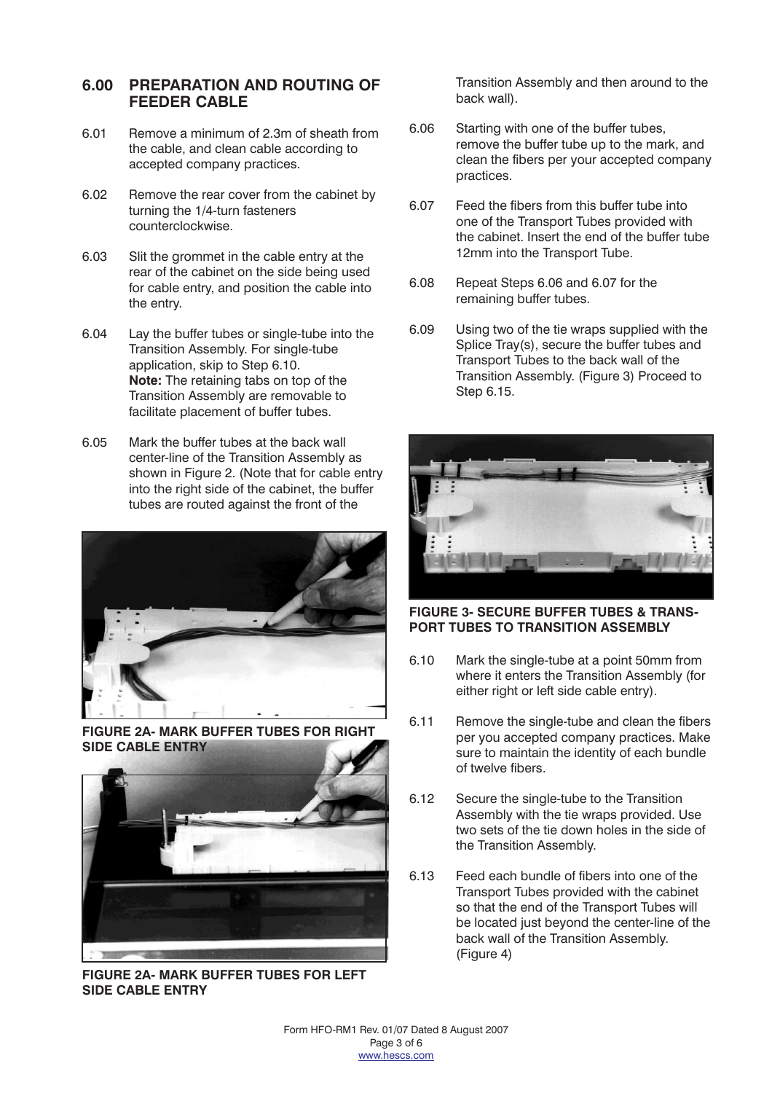#### **6.00 PREPARATION AND ROUTING OF FEEDER CABLE**

- 6.01 Remove a minimum of 2.3m of sheath from the cable, and clean cable according to accepted company practices.
- 6.02 Remove the rear cover from the cabinet by turning the 1/4-turn fasteners counterclockwise.
- 6.03 Slit the grommet in the cable entry at the rear of the cabinet on the side being used for cable entry, and position the cable into the entry.
- 6.04 Lay the buffer tubes or single-tube into the Transition Assembly. For single-tube application, skip to Step 6.10. Note: The retaining tabs on top of the Transition Assembly are removable to facilitate placement of buffer tubes.
- 6.05 Mark the buffer tubes at the back wall center-line of the Transition Assembly as shown in Figure 2. (Note that for cable entry into the right side of the cabinet, the buffer tubes are routed against the front of the



**FIGURE 2A- MARK BUFFER TUBES FOR RIGHT SIDE CABLE ENTRY**



**FIGURE 2A- MARK BUFFER TUBES FOR LEFT SIDE CABLE ENTRY**

Transition Assembly and then around to the back wall).

- 6.06 Starting with one of the buffer tubes, remove the buffer tube up to the mark, and clean the fibers per your accepted company practices.
- 6.07 Feed the fibers from this buffer tube into one of the Transport Tubes provided with the cabinet. Insert the end of the buffer tube 12mm into the Transport Tube.
- 6.08 Repeat Steps 6.06 and 6.07 for the remaining buffer tubes.
- 6.09 Using two of the tie wraps supplied with the Splice Tray(s), secure the buffer tubes and Transport Tubes to the back wall of the Transition Assembly. (Figure 3) Proceed to Step 6.15.



**FIGURE 3- SECURE BUFFER TUBES & TRANS-PORT TUBES TO TRANSITION ASSEMBLY**

- 6.10 Mark the single-tube at a point 50mm from where it enters the Transition Assembly (for either right or left side cable entry).
- 6.11 Remove the single-tube and clean the fibers per you accepted company practices. Make sure to maintain the identity of each bundle of twelve fibers.
- 6.12 Secure the single-tube to the Transition Assembly with the tie wraps provided. Use two sets of the tie down holes in the side of the Transition Assembly.
- 6.13 Feed each bundle of fibers into one of the Transport Tubes provided with the cabinet so that the end of the Transport Tubes will be located just beyond the center-line of the back wall of the Transition Assembly. (Figure 4)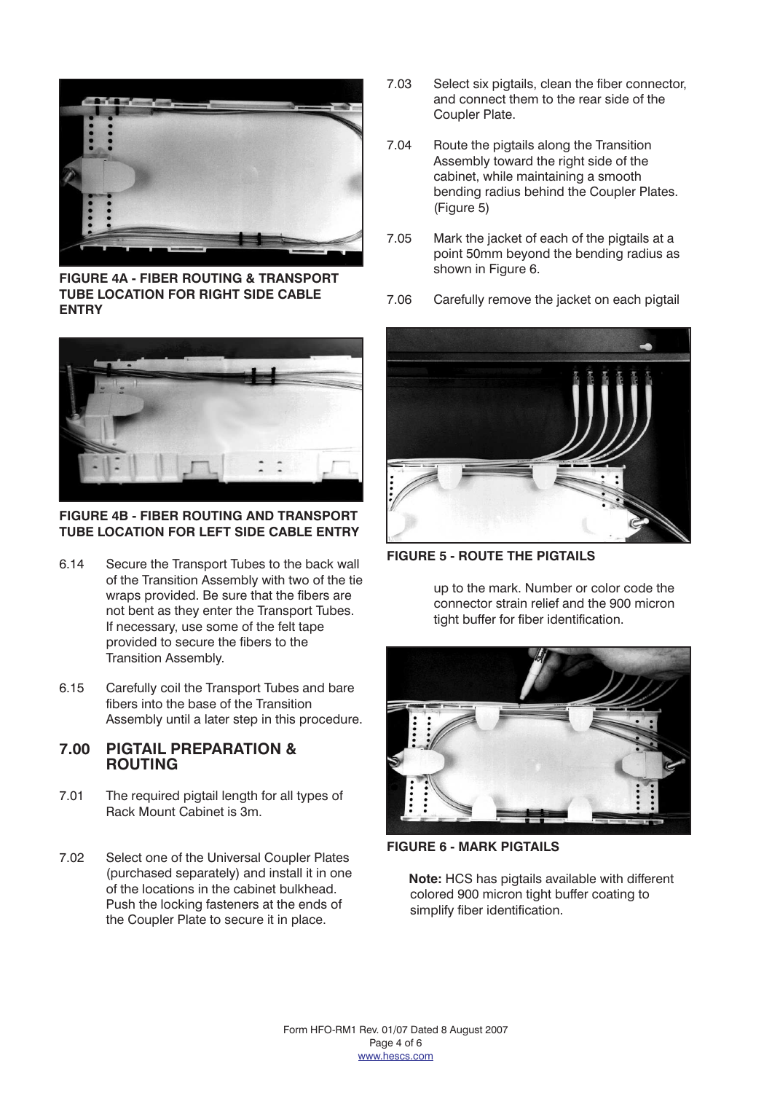

**FIGURE 4A - FIBER ROUTING & TRANSPORT TUBE LOCATION FOR RIGHT SIDE CABLE ENTRY**



**FIGURE 4B - FIBER ROUTING AND TRANSPORT TUBE LOCATION FOR LEFT SIDE CABLE ENTRY**

- 6.14 Secure the Transport Tubes to the back wall of the Transition Assembly with two of the tie wraps provided. Be sure that the fibers are not bent as they enter the Transport Tubes. If necessary, use some of the felt tape provided to secure the fibers to the Transition Assembly.
- 6.15 Carefully coil the Transport Tubes and bare fibers into the base of the Transition Assembly until a later step in this procedure.

### **7.00 PIGTAIL PREPARATION & ROUTING**

- 7.01 The required pigtail length for all types of Rack Mount Cabinet is 3m.
- 7.02 Select one of the Universal Coupler Plates (purchased separately) and install it in one of the locations in the cabinet bulkhead. Push the locking fasteners at the ends of the Coupler Plate to secure it in place.
- 7.03 Select six pigtails, clean the fiber connector, and connect them to the rear side of the Coupler Plate.
- 7.04 Route the pigtails along the Transition Assembly toward the right side of the cabinet, while maintaining a smooth bending radius behind the Coupler Plates. (Figure 5)
- 7.05 Mark the jacket of each of the pigtails at a point 50mm beyond the bending radius as shown in Figure 6.
- 7.06 Carefully remove the jacket on each pigtail



**FIGURE 5 - ROUTE THE PIGTAILS**

up to the mark. Number or color code the connector strain relief and the 900 micron tight buffer for fiber identification.



**FIGURE 6 - MARK PIGTAILS**

**Note:** HCS has pigtails available with different colored 900 micron tight buffer coating to simplify fiber identification.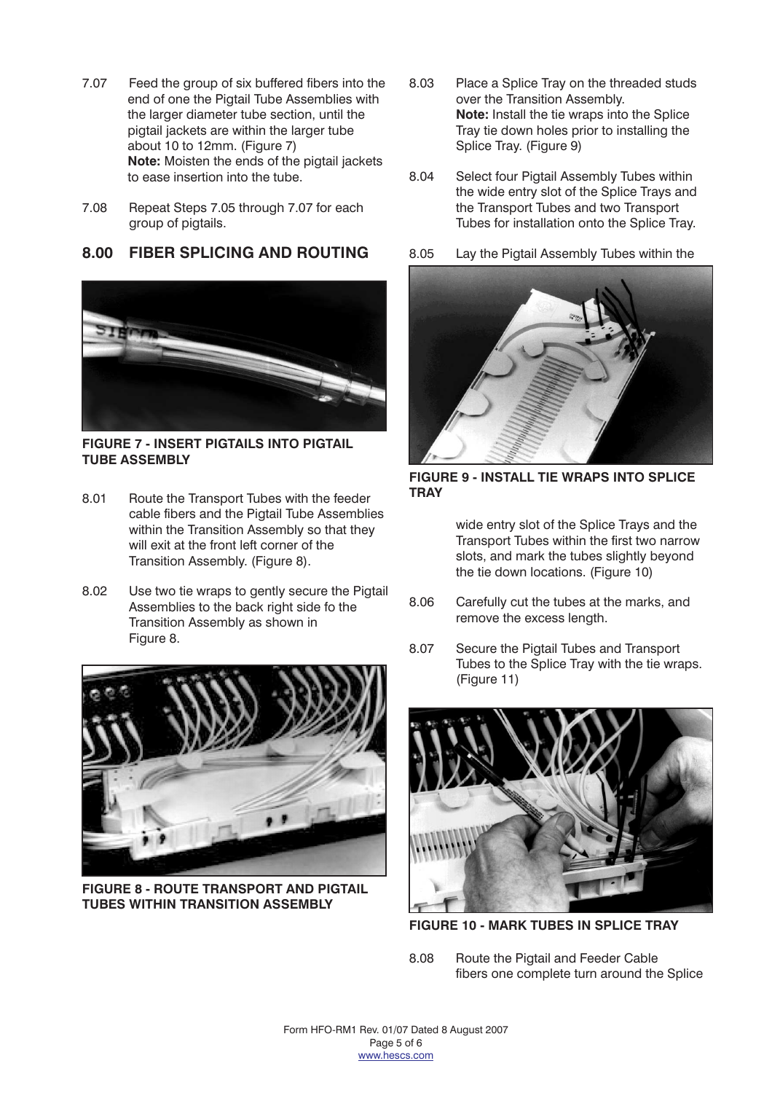- 7.07 Feed the group of six buffered fibers into the end of one the Pigtail Tube Assemblies with the larger diameter tube section, until the pigtail jackets are within the larger tube about 10 to 12mm. (Figure 7) **Note:** Moisten the ends of the pigtail jackets to ease insertion into the tube.
- 7.08 Repeat Steps 7.05 through 7.07 for each group of pigtails.

### **8.00 FIBER SPLICING AND ROUTING**



**FIGURE 7 - INSERT PIGTAILS INTO PIGTAIL TUBE ASSEMBLY**

- 8.01 Route the Transport Tubes with the feeder cable fibers and the Pigtail Tube Assemblies within the Transition Assembly so that they will exit at the front left corner of the Transition Assembly. (Figure 8).
- 8.02 Use two tie wraps to gently secure the Pigtail Assemblies to the back right side fo the Transition Assembly as shown in Figure 8.



**FIGURE 8 - ROUTE TRANSPORT AND PIGTAIL TUBES WITHIN TRANSITION ASSEMBLY**

- 8.03 Place a Splice Tray on the threaded studs over the Transition Assembly. **Note:** Install the tie wraps into the Splice Tray tie down holes prior to installing the Splice Tray. (Figure 9)
- 8.04 Select four Pigtail Assembly Tubes within the wide entry slot of the Splice Trays and the Transport Tubes and two Transport Tubes for installation onto the Splice Tray.
- 8.05 Lay the Pigtail Assembly Tubes within the



**FIGURE 9 - INSTALL TIE WRAPS INTO SPLICE TRAY**

wide entry slot of the Splice Trays and the Transport Tubes within the first two narrow slots, and mark the tubes slightly beyond the tie down locations. (Figure 10)

- 8.06 Carefully cut the tubes at the marks, and remove the excess length.
- 8.07 Secure the Pigtail Tubes and Transport Tubes to the Splice Tray with the tie wraps. (Figure 11)



**FIGURE 10 - MARK TUBES IN SPLICE TRAY**

8.08 Route the Pigtail and Feeder Cable fibers one complete turn around the Splice